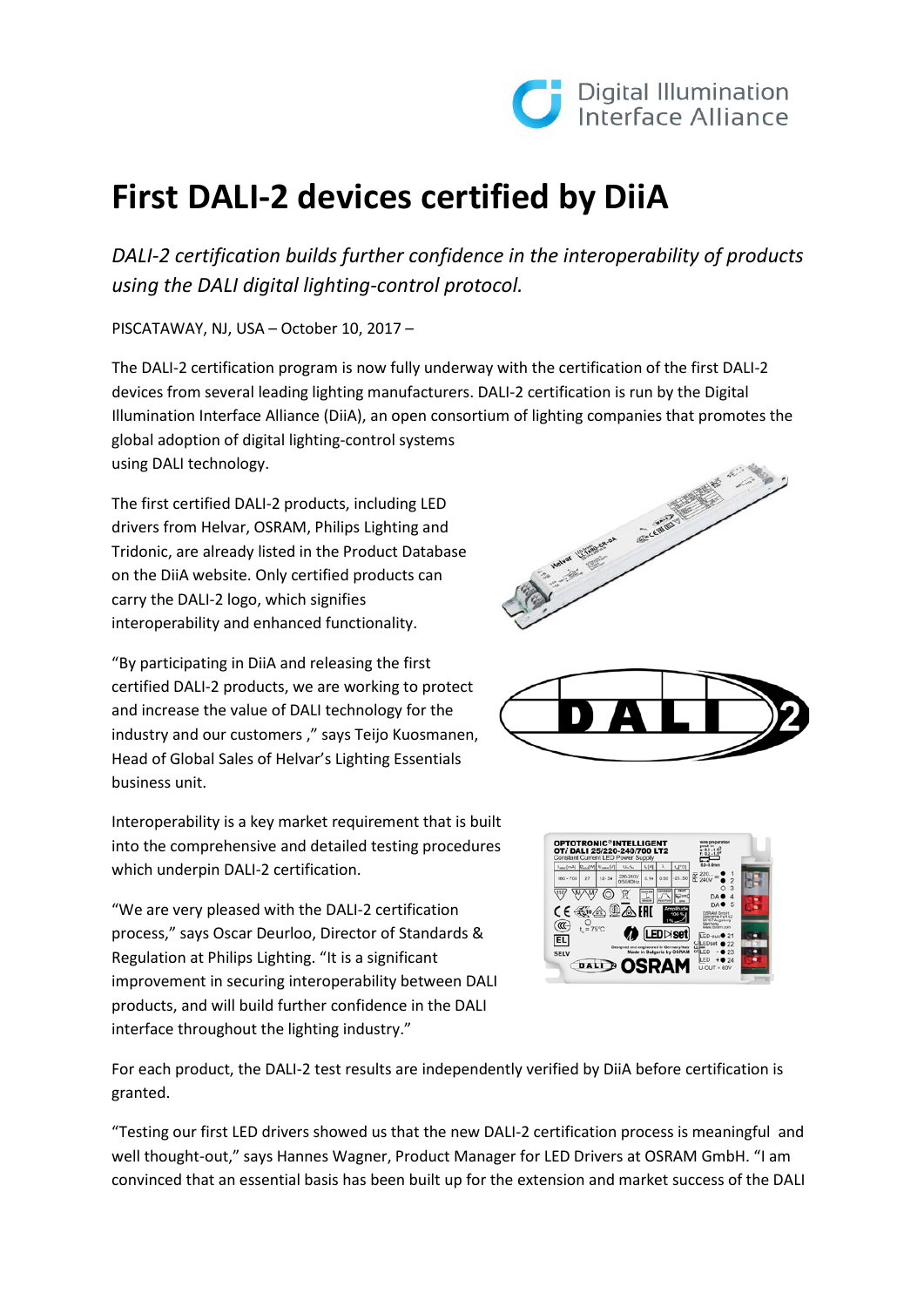

## **First DALI-2 devices certified by DiiA**

*DALI-2 certification builds further confidence in the interoperability of products using the DALI digital lighting-control protocol.* 

PISCATAWAY, NJ, USA – October 10, 2017 –

The DALI-2 certification program is now fully underway with the certification of the first DALI-2 devices from several leading lighting manufacturers. DALI-2 certification is run by the Digital Illumination Interface Alliance (DiiA), an open consortium of lighting companies that promotes the global adoption of digital lighting-control systems using DALI technology.

The first certified DALI-2 products, including LED drivers from Helvar, OSRAM, Philips Lighting and Tridonic, are already listed in the Product Database on the DiiA website. Only certified products can carry the DALI-2 logo, which signifies interoperability and enhanced functionality.

"By participating in DiiA and releasing the first certified DALI-2 products, we are working to protect and increase the value of DALI technology for the industry and our customers," says Teijo Kuosmanen, Head of Global Sales of Helvar's Lighting Essentials business unit.

Interoperability is a key market requirement that is built into the comprehensive and detailed testing procedures which underpin DALI-2 certification.

"We are very pleased with the DALI-2 certification process," says Oscar Deurloo, Director of Standards & Regulation at Philips Lighting. "It is a significant improvement in securing interoperability between DALI products, and will build further confidence in the DALI interface throughout the lighting industry."







For each product, the DALI-2 test results are independently verified by DiiA before certification is granted.

"Testing our first LED drivers showed us that the new DALI-2 certification process is meaningful and well thought-out," says Hannes Wagner, Product Manager for LED Drivers at OSRAM GmbH. "I am convinced that an essential basis has been built up for the extension and market success of the DALI